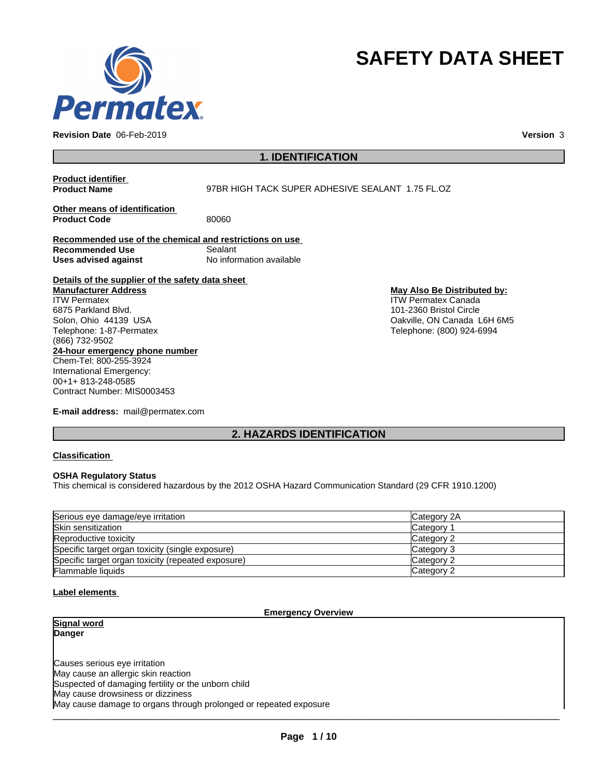

**Revision Date** 06-Feb-2019 **Version** 3

# **SAFETY DATA SHEET**

**1. IDENTIFICATION**

**Product identifier Product Name** 97BR HIGH TACK SUPER ADHESIVE SEALANT 1.75 FL.OZ **Other means of identification Product Code** 80060 **Recommended use of the chemical and restrictions on use Recommended Use** Sealant<br> **Uses advised against** Mo information available **Uses** advised against **Details of the supplier of the safety data sheet 24-hour emergency phone number** Chem-Tel: 800-255-3924 International Emergency: 00+1+ 813-248-0585 **Manufacturer Address** ITW Permatex 6875 Parkland Blvd. Solon, Ohio 44139 USA Telephone: 1-87-Permatex (866) 732-9502 **May Also Be Distributed by:** ITW Permatex Canada 101-2360 Bristol Circle Oakville, ON Canada L6H 6M5 Telephone: (800) 924-6994

**E-mail address:** mail@permatex.com

Contract Number: MIS0003453

# **2. HAZARDS IDENTIFICATION**

**Classification**

#### **OSHA Regulatory Status**

This chemical is considered hazardous by the 2012 OSHA Hazard Communication Standard (29 CFR 1910.1200)

| Serious eye damage/eye irritation                  | Category 2A |
|----------------------------------------------------|-------------|
| Skin sensitization                                 | Category    |
| Reproductive toxicity                              | Category 2  |
| Specific target organ toxicity (single exposure)   | Category 3  |
| Specific target organ toxicity (repeated exposure) | Category 2  |
| <b>Flammable liquids</b>                           | Category 2  |

#### **Label elements**

#### **Emergency Overview**

**Signal word Danger**

Causes serious eye irritation May cause an allergic skin reaction Suspected of damaging fertility or the unborn child May cause drowsiness or dizziness May cause damage to organs through prolonged or repeated exposure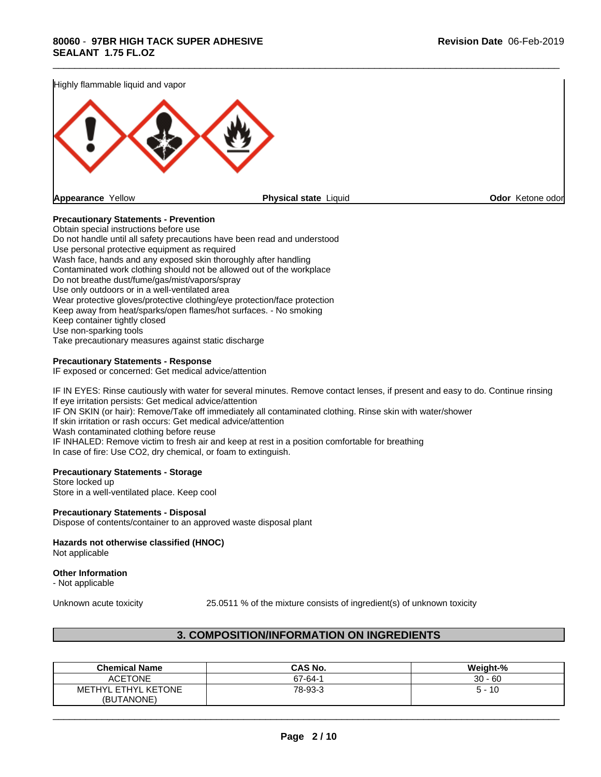

#### **Precautionary Statements - Prevention**

Obtain special instructions before use Do not handle until all safety precautions have been read and understood Use personal protective equipment as required Wash face, hands and any exposed skin thoroughly after handling Contaminated work clothing should not be allowed out of the workplace Do not breathe dust/fume/gas/mist/vapors/spray Use only outdoors or in a well-ventilated area Wear protective gloves/protective clothing/eye protection/face protection Keep away from heat/sparks/open flames/hot surfaces. - No smoking Keep container tightly closed Use non-sparking tools Take precautionary measures against static discharge

#### **Precautionary Statements - Response**

IF exposed or concerned: Get medical advice/attention

IF IN EYES: Rinse cautiously with water for several minutes. Remove contact lenses, if present and easy to do. Continue rinsing If eye irritation persists: Get medical advice/attention IF ON SKIN (or hair): Remove/Take off immediately all contaminated clothing. Rinse skin with water/shower If skin irritation or rash occurs: Get medical advice/attention Wash contaminated clothing before reuse

IF INHALED: Remove victim to fresh air and keep at rest in a position comfortable for breathing In case of fire: Use CO2, dry chemical, or foam to extinguish.

#### **Precautionary Statements - Storage**

Store locked up Store in a well-ventilated place. Keep cool

#### **Precautionary Statements - Disposal**

Dispose of contents/container to an approved waste disposal plant

# **Hazards not otherwise classified (HNOC)**

Not applicable

#### **Other Information**

- Not applicable

Unknown acute toxicity 25.0511 % of the mixture consists of ingredient(s) of unknown toxicity

 $\overline{\phantom{a}}$  ,  $\overline{\phantom{a}}$  ,  $\overline{\phantom{a}}$  ,  $\overline{\phantom{a}}$  ,  $\overline{\phantom{a}}$  ,  $\overline{\phantom{a}}$  ,  $\overline{\phantom{a}}$  ,  $\overline{\phantom{a}}$  ,  $\overline{\phantom{a}}$  ,  $\overline{\phantom{a}}$  ,  $\overline{\phantom{a}}$  ,  $\overline{\phantom{a}}$  ,  $\overline{\phantom{a}}$  ,  $\overline{\phantom{a}}$  ,  $\overline{\phantom{a}}$  ,  $\overline{\phantom{a}}$ 

# **3. COMPOSITION/INFORMATION ON INGREDIENTS**

| <b>Chemical Name</b>                    | <b>CAS No.</b> | Weight-%  |
|-----------------------------------------|----------------|-----------|
| <b>ACETONE</b>                          | 67-64-1        | $30 - 60$ |
| <b>METHYL ETHYL</b><br><b>YL KETONE</b> | 78-93-3        | -16<br>∽  |
| (BUTANONE)                              |                |           |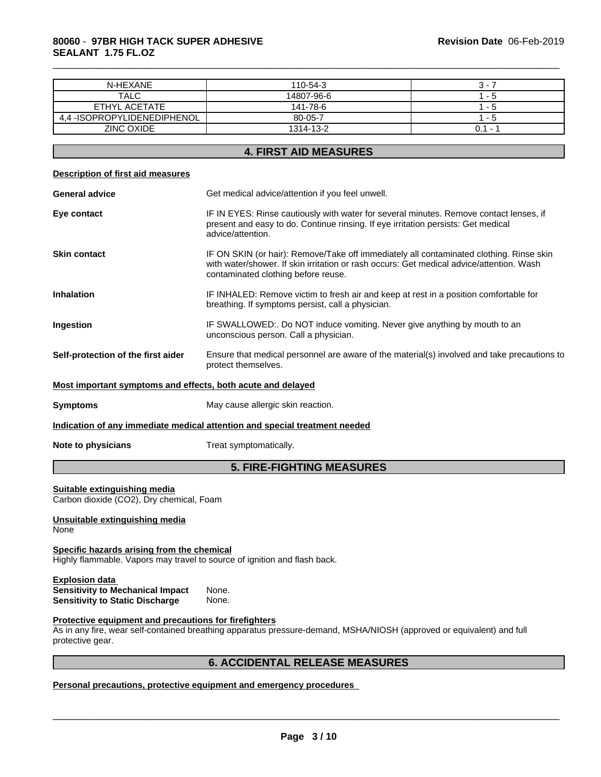# **80060** - **97BR HIGH TACK SUPER ADHESIVE SEALANT 1.75 FL.OZ**

| N-HEXANE                                                                                                                | 110-54-3                                                                                                                                                                                                                   | $3 - 7$   |  |  |
|-------------------------------------------------------------------------------------------------------------------------|----------------------------------------------------------------------------------------------------------------------------------------------------------------------------------------------------------------------------|-----------|--|--|
| <b>TALC</b>                                                                                                             | 14807-96-6                                                                                                                                                                                                                 | $1 - 5$   |  |  |
| ETHYL ACETATE                                                                                                           | 141-78-6                                                                                                                                                                                                                   | $1 - 5$   |  |  |
| 4,4 - ISOPROPYLIDENEDIPHENOL                                                                                            | 80-05-7                                                                                                                                                                                                                    | $1 - 5$   |  |  |
| <b>ZINC OXIDE</b>                                                                                                       | 1314-13-2                                                                                                                                                                                                                  | $0.1 - 1$ |  |  |
|                                                                                                                         |                                                                                                                                                                                                                            |           |  |  |
|                                                                                                                         | <b>4. FIRST AID MEASURES</b>                                                                                                                                                                                               |           |  |  |
| <b>Description of first aid measures</b>                                                                                |                                                                                                                                                                                                                            |           |  |  |
| <b>General advice</b>                                                                                                   | Get medical advice/attention if you feel unwell.                                                                                                                                                                           |           |  |  |
| Eye contact                                                                                                             | IF IN EYES: Rinse cautiously with water for several minutes. Remove contact lenses, if<br>present and easy to do. Continue rinsing. If eye irritation persists: Get medical<br>advice/attention.                           |           |  |  |
| <b>Skin contact</b>                                                                                                     | IF ON SKIN (or hair): Remove/Take off immediately all contaminated clothing. Rinse skin<br>with water/shower. If skin irritation or rash occurs: Get medical advice/attention. Wash<br>contaminated clothing before reuse. |           |  |  |
| <b>Inhalation</b>                                                                                                       | IF INHALED: Remove victim to fresh air and keep at rest in a position comfortable for<br>breathing. If symptoms persist, call a physician.                                                                                 |           |  |  |
| Ingestion                                                                                                               | IF SWALLOWED:. Do NOT induce vomiting. Never give anything by mouth to an<br>unconscious person. Call a physician.                                                                                                         |           |  |  |
| Self-protection of the first aider                                                                                      | Ensure that medical personnel are aware of the material(s) involved and take precautions to<br>protect themselves.                                                                                                         |           |  |  |
| Most important symptoms and effects, both acute and delayed                                                             |                                                                                                                                                                                                                            |           |  |  |
| <b>Symptoms</b>                                                                                                         | May cause allergic skin reaction.                                                                                                                                                                                          |           |  |  |
|                                                                                                                         | Indication of any immediate medical attention and special treatment needed                                                                                                                                                 |           |  |  |
| Note to physicians                                                                                                      | Treat symptomatically.                                                                                                                                                                                                     |           |  |  |
|                                                                                                                         | <b>5. FIRE-FIGHTING MEASURES</b>                                                                                                                                                                                           |           |  |  |
| Suitable extinguishing media<br>Carbon dioxide (CO2), Dry chemical, Foam                                                |                                                                                                                                                                                                                            |           |  |  |
| Unsuitable extinguishing media<br>None                                                                                  |                                                                                                                                                                                                                            |           |  |  |
| Specific hazards arising from the chemical<br>Highly flammable. Vapors may travel to source of ignition and flash back. |                                                                                                                                                                                                                            |           |  |  |
| <b>Explosion data</b><br><b>Sensitivity to Mechanical Impact</b><br><b>Sensitivity to Static Discharge</b>              | None.<br>None.                                                                                                                                                                                                             |           |  |  |
| Protective equipment and precautions for firefighters<br>protective gear.                                               | As in any fire, wear self-contained breathing apparatus pressure-demand, MSHA/NIOSH (approved or equivalent) and full                                                                                                      |           |  |  |
|                                                                                                                         | <b>6. ACCIDENTAL RELEASE MEASURES</b>                                                                                                                                                                                      |           |  |  |
|                                                                                                                         |                                                                                                                                                                                                                            |           |  |  |

\_\_\_\_\_\_\_\_\_\_\_\_\_\_\_\_\_\_\_\_\_\_\_\_\_\_\_\_\_\_\_\_\_\_\_\_\_\_\_\_\_\_\_\_\_\_\_\_\_\_\_\_\_\_\_\_\_\_\_\_\_\_\_\_\_\_\_\_\_\_\_\_\_\_\_\_\_\_\_\_\_\_\_\_\_\_\_\_\_\_\_\_\_

#### **Personal precautions, protective equipment and emergency procedures**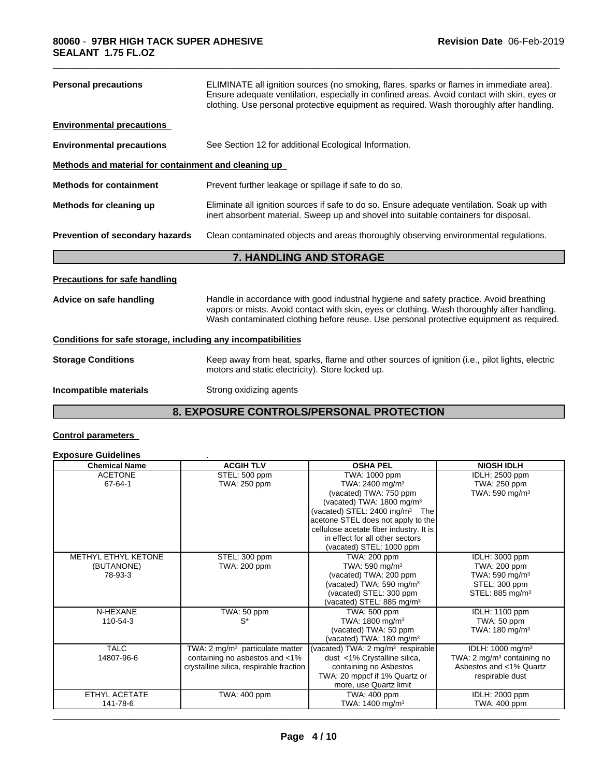| <b>Personal precautions</b>                                  | ELIMINATE all ignition sources (no smoking, flares, sparks or flames in immediate area).<br>Ensure adequate ventilation, especially in confined areas. Avoid contact with skin, eyes or<br>clothing. Use personal protective equipment as required. Wash thoroughly after handling. |  |  |  |  |
|--------------------------------------------------------------|-------------------------------------------------------------------------------------------------------------------------------------------------------------------------------------------------------------------------------------------------------------------------------------|--|--|--|--|
| <b>Environmental precautions</b>                             |                                                                                                                                                                                                                                                                                     |  |  |  |  |
| <b>Environmental precautions</b>                             | See Section 12 for additional Ecological Information.                                                                                                                                                                                                                               |  |  |  |  |
| Methods and material for containment and cleaning up         |                                                                                                                                                                                                                                                                                     |  |  |  |  |
| <b>Methods for containment</b>                               | Prevent further leakage or spillage if safe to do so.                                                                                                                                                                                                                               |  |  |  |  |
| Methods for cleaning up                                      | Eliminate all ignition sources if safe to do so. Ensure adequate ventilation. Soak up with<br>inert absorbent material. Sweep up and shovel into suitable containers for disposal.                                                                                                  |  |  |  |  |
| Prevention of secondary hazards                              | Clean contaminated objects and areas thoroughly observing environmental regulations.                                                                                                                                                                                                |  |  |  |  |
|                                                              | 7. HANDLING AND STORAGE                                                                                                                                                                                                                                                             |  |  |  |  |
|                                                              |                                                                                                                                                                                                                                                                                     |  |  |  |  |
| <b>Precautions for safe handling</b>                         |                                                                                                                                                                                                                                                                                     |  |  |  |  |
| Advice on safe handling                                      | Handle in accordance with good industrial hygiene and safety practice. Avoid breathing<br>vapors or mists. Avoid contact with skin, eyes or clothing. Wash thoroughly after handling.<br>Wash contaminated clothing before reuse. Use personal protective equipment as required.    |  |  |  |  |
| Conditions for safe storage, including any incompatibilities |                                                                                                                                                                                                                                                                                     |  |  |  |  |
| <b>Storage Conditions</b>                                    | Keep away from heat, sparks, flame and other sources of ignition (i.e., pilot lights, electric<br>motors and static electricity). Store locked up.                                                                                                                                  |  |  |  |  |

# **8. EXPOSURE CONTROLS/PERSONAL PROTECTION**

# **Control parameters**

# **Exposure Guidelines** .

| <b>Chemical Name</b> | <b>ACGIH TLV</b>                           | <b>OSHA PEL</b>                               | <b>NIOSH IDLH</b>                      |
|----------------------|--------------------------------------------|-----------------------------------------------|----------------------------------------|
| <b>ACETONE</b>       | STEL: 500 ppm                              | TWA: 1000 ppm                                 | IDLH: 2500 ppm                         |
| 67-64-1              | TWA: 250 ppm                               | TWA: 2400 mg/m <sup>3</sup>                   | TWA: 250 ppm                           |
|                      |                                            | (vacated) TWA: 750 ppm                        | TWA: $590$ mg/m <sup>3</sup>           |
|                      |                                            | (vacated) TWA: 1800 mg/m <sup>3</sup>         |                                        |
|                      |                                            | (vacated) STEL: $2400 \text{ mg/m}^3$ The     |                                        |
|                      |                                            | acetone STEL does not apply to the            |                                        |
|                      |                                            | cellulose acetate fiber industry. It is       |                                        |
|                      |                                            | in effect for all other sectors               |                                        |
|                      |                                            | (vacated) STEL: 1000 ppm                      |                                        |
| METHYL ETHYL KETONE  | STEL: 300 ppm                              | TWA: 200 ppm                                  | IDLH: 3000 ppm                         |
| (BUTANONE)           | TWA: 200 ppm                               | TWA: 590 mg/m $3$                             | TWA: 200 ppm                           |
| 78-93-3              |                                            | (vacated) TWA: 200 ppm                        | TWA: 590 mg/m $3$                      |
|                      |                                            | (vacated) TWA: 590 mg/m <sup>3</sup>          | STEL: 300 ppm                          |
|                      |                                            | (vacated) STEL: 300 ppm                       | STEL: 885 mg/m <sup>3</sup>            |
|                      |                                            | (vacated) STEL: 885 mg/m <sup>3</sup>         |                                        |
| N-HEXANE             | TWA: 50 ppm                                | TWA: 500 ppm                                  | IDLH: 1100 ppm                         |
| 110-54-3             | $S^*$                                      | TWA: 1800 mg/m <sup>3</sup>                   | TWA: 50 ppm                            |
|                      |                                            | (vacated) TWA: 50 ppm                         | TWA: $180 \text{ mg/m}^3$              |
|                      |                                            | (vacated) TWA: $180 \text{ mg/m}^3$           |                                        |
| <b>TALC</b>          | TWA: $2 \text{ mg/m}^3$ particulate matter | (vacated) TWA: 2 mg/m <sup>3</sup> respirable | IDLH: 1000 mg/m <sup>3</sup>           |
| 14807-96-6           | containing no asbestos and <1%             | dust <1% Crystalline silica,                  | TWA: 2 mg/m <sup>3</sup> containing no |
|                      | crystalline silica, respirable fraction    | containing no Asbestos                        | Asbestos and <1% Quartz                |
|                      |                                            | TWA: 20 mppcf if 1% Quartz or                 | respirable dust                        |
|                      |                                            | more, use Quartz limit                        |                                        |
| ETHYL ACETATE        | TWA: 400 ppm                               | TWA: 400 ppm                                  | IDLH: 2000 ppm                         |
| 141-78-6             |                                            | TWA: $1400 \text{ mg/m}^3$                    | TWA: 400 ppm                           |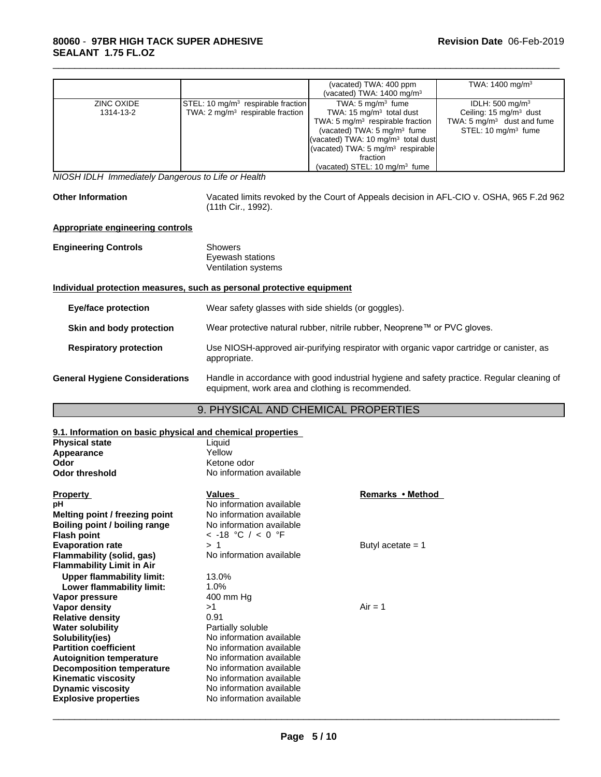|            |                                                | (vacated) TWA: 400 ppm<br>(vacated) TWA: $1400 \text{ mg/m}^3$ | TWA: $1400 \text{ mg/m}^3$            |
|------------|------------------------------------------------|----------------------------------------------------------------|---------------------------------------|
| ZINC OXIDE | STEL: 10 mg/m <sup>3</sup> respirable fraction | TWA: $5 \text{ mg/m}^3$ fume                                   | IDLH: $500 \text{ mg/m}^3$            |
| 1314-13-2  | TWA: $2 \text{ mg/m}^3$ respirable fraction    | TWA: $15 \text{ mg/m}^3$ total dust                            | Ceiling: $15 \text{ mg/m}^3$ dust     |
|            |                                                | TWA: 5 $mq/m3$ respirable fraction                             | TWA: $5 \text{ mg/m}^3$ dust and fume |
|            |                                                | (vacated) TWA: $5 \text{ mg/m}^3$ fume                         | STEL: $10 \text{ mg/m}^3$ fume        |
|            |                                                | (vacated) TWA: 10 mg/m <sup>3</sup> total dust                 |                                       |
|            |                                                | (vacated) TWA: $5 \text{ mg/m}^3$ respirable                   |                                       |
|            |                                                | fraction                                                       |                                       |
|            |                                                | (vacated) STEL: $10 \text{ mg/m}^3$ fume                       |                                       |

*NIOSH IDLH Immediately Dangerous to Life or Health*

Other Information Vacated limits revoked by the Court of Appeals decision in AFL-CIO v. OSHA, 965 F.2d 962 (11th Cir., 1992).

\_\_\_\_\_\_\_\_\_\_\_\_\_\_\_\_\_\_\_\_\_\_\_\_\_\_\_\_\_\_\_\_\_\_\_\_\_\_\_\_\_\_\_\_\_\_\_\_\_\_\_\_\_\_\_\_\_\_\_\_\_\_\_\_\_\_\_\_\_\_\_\_\_\_\_\_\_\_\_\_\_\_\_\_\_\_\_\_\_\_\_\_\_

#### **Appropriate engineering controls**

| <b>Engineering Controls</b>           | <b>Showers</b><br>Eyewash stations<br><b>Ventilation systems</b>                                                                                |
|---------------------------------------|-------------------------------------------------------------------------------------------------------------------------------------------------|
|                                       | Individual protection measures, such as personal protective equipment                                                                           |
| Eye/face protection                   | Wear safety glasses with side shields (or goggles).                                                                                             |
| Skin and body protection              | Wear protective natural rubber, nitrile rubber, Neoprene™ or PVC gloves.                                                                        |
| <b>Respiratory protection</b>         | Use NIOSH-approved air-purifying respirator with organic vapor cartridge or canister, as<br>appropriate.                                        |
| <b>General Hygiene Considerations</b> | Handle in accordance with good industrial hygiene and safety practice. Regular cleaning of<br>equipment, work area and clothing is recommended. |

## 9. PHYSICAL AND CHEMICAL PROPERTIES

| 9.1. Information on basic physical and chemical properties |                          |                     |
|------------------------------------------------------------|--------------------------|---------------------|
| <b>Physical state</b>                                      | Liquid                   |                     |
| Appearance                                                 | Yellow                   |                     |
| Odor                                                       | Ketone odor              |                     |
| <b>Odor threshold</b>                                      | No information available |                     |
| <b>Property</b>                                            | <b>Values</b>            | Remarks • Method    |
| рH                                                         | No information available |                     |
| Melting point / freezing point                             | No information available |                     |
| Boiling point / boiling range                              | No information available |                     |
| <b>Flash point</b>                                         | $<$ -18 °C / $<$ 0 °F    |                     |
| <b>Evaporation rate</b>                                    | > 1                      | Butyl acetate $= 1$ |
| Flammability (solid, gas)                                  | No information available |                     |
| <b>Flammability Limit in Air</b>                           |                          |                     |
| <b>Upper flammability limit:</b>                           | 13.0%                    |                     |
| Lower flammability limit:                                  | 1.0%                     |                     |
| Vapor pressure                                             | 400 mm Hg                |                     |
| Vapor density                                              | >1                       | $Air = 1$           |
| <b>Relative density</b>                                    | 0.91                     |                     |
| <b>Water solubility</b>                                    | Partially soluble        |                     |
| Solubility(ies)                                            | No information available |                     |
| <b>Partition coefficient</b>                               | No information available |                     |
| <b>Autoignition temperature</b>                            | No information available |                     |
| <b>Decomposition temperature</b>                           | No information available |                     |
| <b>Kinematic viscosity</b>                                 | No information available |                     |
| <b>Dynamic viscosity</b>                                   | No information available |                     |
| <b>Explosive properties</b>                                | No information available |                     |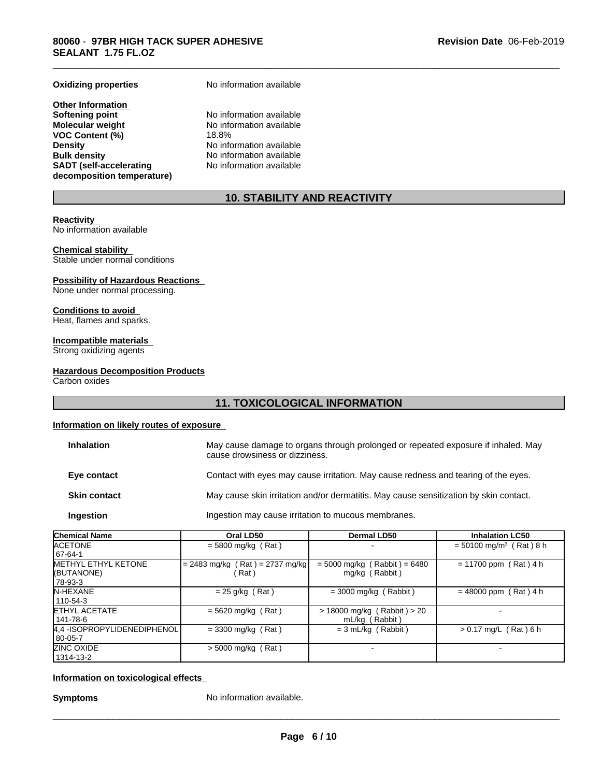**Other Information Softening point No information available**<br> **Molecular weight No information available VOC Content (%)**<br>Density **Density Density Density No information available Bulk density No information available SADT (self-accelerating decomposition temperature)**

**Oxidizing properties** No information available

No information available<br>18.8% **No information available** No information available

# **10. STABILITY AND REACTIVITY**

\_\_\_\_\_\_\_\_\_\_\_\_\_\_\_\_\_\_\_\_\_\_\_\_\_\_\_\_\_\_\_\_\_\_\_\_\_\_\_\_\_\_\_\_\_\_\_\_\_\_\_\_\_\_\_\_\_\_\_\_\_\_\_\_\_\_\_\_\_\_\_\_\_\_\_\_\_\_\_\_\_\_\_\_\_\_\_\_\_\_\_\_\_

#### **Reactivity**

No information available

#### **Chemical stability**

Stable under normal conditions

#### **Possibility of Hazardous Reactions**

None under normal processing.

#### **Conditions to avoid**

Heat, flames and sparks.

### **Incompatible materials**

Strong oxidizing agents

#### **Hazardous Decomposition Products**

Carbon oxides

# **11. TOXICOLOGICAL INFORMATION**

#### **Information on likely routes of exposure**

| May cause damage to organs through prolonged or repeated exposure if inhaled. May<br>cause drowsiness or dizziness. |
|---------------------------------------------------------------------------------------------------------------------|
| Contact with eyes may cause irritation. May cause redness and tearing of the eyes.                                  |
| May cause skin irritation and/or dermatitis. May cause sensitization by skin contact.                               |
| Ingestion may cause irritation to mucous membranes.                                                                 |
|                                                                                                                     |

| Chemical Name               | Oral LD50                         | <b>Dermal LD50</b>             | <b>Inhalation LC50</b>                |
|-----------------------------|-----------------------------------|--------------------------------|---------------------------------------|
| <b>ACETONE</b>              | $= 5800$ mg/kg (Rat)              |                                | $= 50100$ mg/m <sup>3</sup> (Rat) 8 h |
| 67-64-1                     |                                   |                                |                                       |
| METHYL ETHYL KETONE         | $= 2483$ mg/kg (Rat) = 2737 mg/kg | $= 5000$ mg/kg (Rabbit) = 6480 | $= 11700$ ppm (Rat) 4 h               |
| ((BUTANONE)                 | (Rat)                             | mg/kg (Rabbit)                 |                                       |
| 78-93-3                     |                                   |                                |                                       |
| IN-HEXANE                   | $= 25$ g/kg (Rat)                 | $=$ 3000 mg/kg (Rabbit)        | $= 48000$ ppm (Rat) 4 h               |
| 110-54-3                    |                                   |                                |                                       |
| ETHYL ACETATE               | $= 5620$ mg/kg (Rat)              | > 18000 mg/kg (Rabbit) > 20    |                                       |
| 141-78-6                    |                                   | mL/kg (Rabbit)                 |                                       |
| 4.4 -ISOPROPYLIDENEDIPHENOL | $=$ 3300 mg/kg (Rat)              | $= 3$ mL/kg (Rabbit)           | $> 0.17$ mg/L (Rat) 6 h               |
| 80-05-7                     |                                   |                                |                                       |
| ZINC OXIDE                  | $>$ 5000 mg/kg (Rat)              |                                |                                       |
| 1314-13-2                   |                                   |                                |                                       |

#### **Information on toxicological effects**

**Symptoms** No information available.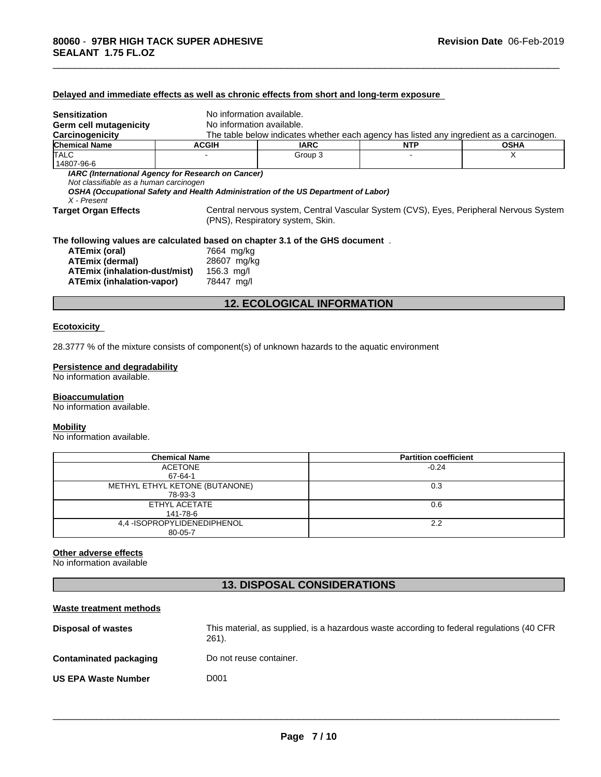| <b>Sensitization</b>                                                                 | No information available. |                                                                                          |            |                                                                                        |
|--------------------------------------------------------------------------------------|---------------------------|------------------------------------------------------------------------------------------|------------|----------------------------------------------------------------------------------------|
| Germ cell mutagenicity                                                               | No information available. |                                                                                          |            |                                                                                        |
| Carcinogenicity                                                                      |                           | The table below indicates whether each agency has listed any ingredient as a carcinogen. |            |                                                                                        |
| <b>Chemical Name</b>                                                                 | <b>ACGIH</b>              | <b>IARC</b>                                                                              | <b>NTP</b> | <b>OSHA</b>                                                                            |
| <b>TALC</b><br>14807-96-6                                                            |                           | Group 3                                                                                  |            | X                                                                                      |
| Not classifiable as a human carcinogen<br>X - Present<br><b>Target Organ Effects</b> |                           | OSHA (Occupational Safety and Health Administration of the US Department of Labor)       |            | Central nervous system, Central Vascular System (CVS), Eyes, Peripheral Nervous System |
|                                                                                      |                           | (PNS), Respiratory system, Skin.                                                         |            |                                                                                        |
| The following values are calculated based on chapter 3.1 of the GHS document.        |                           |                                                                                          |            |                                                                                        |
| ATEmix (oral)                                                                        | 7664 mg/kg                |                                                                                          |            |                                                                                        |
| <b>ATEmix (dermal)</b>                                                               | 28607 mg/kg               |                                                                                          |            |                                                                                        |
| ATEmix (inhalation-dust/mist)                                                        | 156.3 $mg/l$              |                                                                                          |            |                                                                                        |
| ATEmix (inhalation-vapor)                                                            | 78447 mg/l                |                                                                                          |            |                                                                                        |
|                                                                                      |                           | <b>12. ECOLOGICAL INFORMATION</b>                                                        |            |                                                                                        |
|                                                                                      |                           |                                                                                          |            |                                                                                        |

\_\_\_\_\_\_\_\_\_\_\_\_\_\_\_\_\_\_\_\_\_\_\_\_\_\_\_\_\_\_\_\_\_\_\_\_\_\_\_\_\_\_\_\_\_\_\_\_\_\_\_\_\_\_\_\_\_\_\_\_\_\_\_\_\_\_\_\_\_\_\_\_\_\_\_\_\_\_\_\_\_\_\_\_\_\_\_\_\_\_\_\_\_

# **Ecotoxicity**

28.3777 % of the mixture consists of component(s) of unknown hazards to the aquatic environment

**Delayed and immediate effects as well as chronic effects from short and long-term exposure**

#### **Persistence and degradability**

No information available.

#### **Bioaccumulation**

No information available.

#### **Mobility**

No information available.

| <b>Chemical Name</b>           | <b>Partition coefficient</b> |
|--------------------------------|------------------------------|
| <b>ACETONE</b>                 | $-0.24$                      |
| 67-64-1                        |                              |
| METHYL ETHYL KETONE (BUTANONE) | 0.3                          |
| 78-93-3                        |                              |
| ETHYL ACETATE                  | 0.6                          |
| 141-78-6                       |                              |
| 4.4 - ISOPROPYLIDENEDIPHENOL   | 2.2                          |
| 80-05-7                        |                              |

# **Other adverse effects**

No information available

# **13. DISPOSAL CONSIDERATIONS**

#### **Waste treatment methods**

| Disposal of wastes         | This material, as supplied, is a hazardous waste according to federal regulations (40 CFR)<br>$261$ ). |
|----------------------------|--------------------------------------------------------------------------------------------------------|
| Contaminated packaging     | Do not reuse container.                                                                                |
| <b>US EPA Waste Number</b> | D001                                                                                                   |
|                            |                                                                                                        |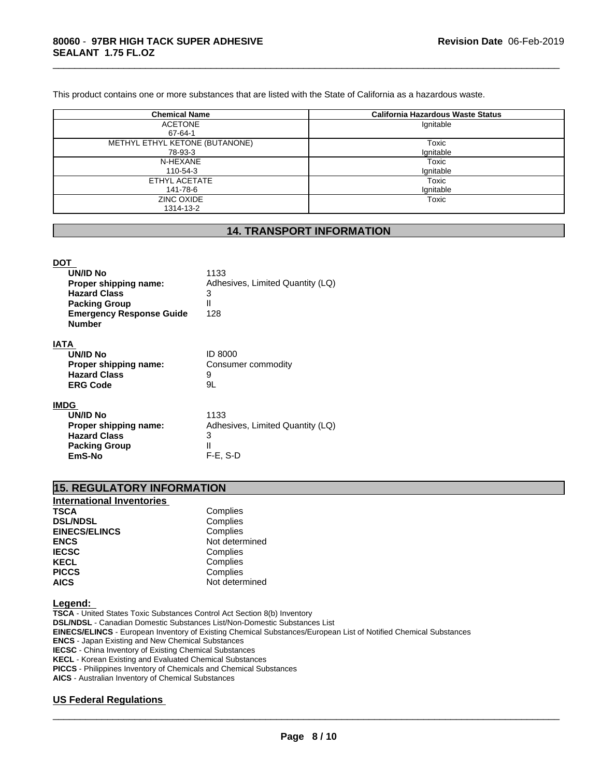This product contains one or more substances that are listed with the State of California as a hazardous waste.

| <b>Chemical Name</b>           | California Hazardous Waste Status |
|--------------------------------|-----------------------------------|
| <b>ACETONE</b>                 | Ignitable                         |
| 67-64-1                        |                                   |
| METHYL ETHYL KETONE (BUTANONE) | Toxic                             |
| 78-93-3                        | Ignitable                         |
| N-HEXANE                       | Toxic                             |
| 110-54-3                       | Ignitable                         |
| ETHYL ACETATE                  | Toxic                             |
| 141-78-6                       | Ignitable                         |
| ZINC OXIDE                     | Toxic                             |
| 1314-13-2                      |                                   |

\_\_\_\_\_\_\_\_\_\_\_\_\_\_\_\_\_\_\_\_\_\_\_\_\_\_\_\_\_\_\_\_\_\_\_\_\_\_\_\_\_\_\_\_\_\_\_\_\_\_\_\_\_\_\_\_\_\_\_\_\_\_\_\_\_\_\_\_\_\_\_\_\_\_\_\_\_\_\_\_\_\_\_\_\_\_\_\_\_\_\_\_\_

# **14. TRANSPORT INFORMATION**

#### **DOT**

| UN/ID No                        | 1133                             |
|---------------------------------|----------------------------------|
| Proper shipping name:           | Adhesives, Limited Quantity (LQ) |
| <b>Hazard Class</b>             | 3                                |
| <b>Packing Group</b>            |                                  |
| <b>Emergency Response Guide</b> | 128                              |
| <b>Number</b>                   |                                  |
|                                 |                                  |

#### **IATA**

| UN/ID No              | <b>ID 8000</b>     |
|-----------------------|--------------------|
| Proper shipping name: | Consumer commodity |
| <b>Hazard Class</b>   | q                  |
| <b>ERG Code</b>       | 9L                 |
|                       |                    |

# **IMDG**

| <b>UN/ID No</b><br>Proper shipping name:<br><b>Hazard Class</b><br><b>Packing Group</b><br>EmS-No | 1133<br>Adhesives, Limited Quantity (LQ)<br>3<br>$F-E. S-D$ |
|---------------------------------------------------------------------------------------------------|-------------------------------------------------------------|
|---------------------------------------------------------------------------------------------------|-------------------------------------------------------------|

# **15. REGULATORY INFORMATION**

| <b>International Inventories</b> |                |
|----------------------------------|----------------|
| <b>TSCA</b>                      | Complies       |
| <b>DSL/NDSL</b>                  | Complies       |
| <b>EINECS/ELINCS</b>             | Complies       |
| <b>ENCS</b>                      | Not determined |
| <b>IECSC</b>                     | Complies       |
| <b>KECL</b>                      | Complies       |
| <b>PICCS</b>                     | Complies       |
| <b>AICS</b>                      | Not determined |

#### **Legend:**

**TSCA** - United States Toxic Substances Control Act Section 8(b) Inventory **DSL/NDSL** - Canadian Domestic Substances List/Non-Domestic Substances List **EINECS/ELINCS** - European Inventory of Existing Chemical Substances/European List of Notified Chemical Substances **ENCS** - Japan Existing and New Chemical Substances **IECSC** - China Inventory of Existing Chemical Substances **KECL** - Korean Existing and Evaluated Chemical Substances **PICCS** - Philippines Inventory of Chemicals and Chemical Substances **AICS** - Australian Inventory of Chemical Substances

# **US Federal Regulations**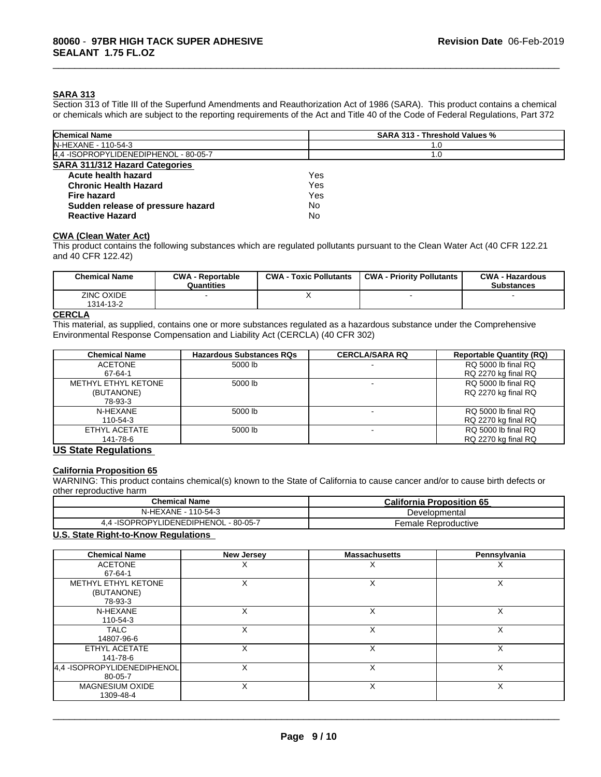#### **SARA 313**

Section 313 of Title III of the Superfund Amendments and Reauthorization Act of 1986 (SARA). This product contains a chemical or chemicals which are subject to the reporting requirements of the Act and Title 40 of the Code of Federal Regulations, Part 372

\_\_\_\_\_\_\_\_\_\_\_\_\_\_\_\_\_\_\_\_\_\_\_\_\_\_\_\_\_\_\_\_\_\_\_\_\_\_\_\_\_\_\_\_\_\_\_\_\_\_\_\_\_\_\_\_\_\_\_\_\_\_\_\_\_\_\_\_\_\_\_\_\_\_\_\_\_\_\_\_\_\_\_\_\_\_\_\_\_\_\_\_\_

| <b>Chemical Name</b>                   | <b>SARA 313 - Threshold Values %</b> |  |
|----------------------------------------|--------------------------------------|--|
| N-HEXANE - 110-54-3                    | 1.0                                  |  |
| 4,4 - ISOPROPYLIDENEDIPHENOL - 80-05-7 | 1.0                                  |  |
| <b>SARA 311/312 Hazard Categories</b>  |                                      |  |
| Acute health hazard                    | Yes                                  |  |
| <b>Chronic Health Hazard</b>           | Yes                                  |  |
| Fire hazard                            | Yes                                  |  |
| Sudden release of pressure hazard      | No                                   |  |
| <b>Reactive Hazard</b>                 | No                                   |  |

# **CWA** (Clean Water Act)

This product contains the following substances which are regulated pollutants pursuant to the Clean Water Act (40 CFR 122.21 and 40 CFR 122.42)

| <b>Chemical Name</b>           | <b>CWA - Reportable</b><br>Quantities | <b>CWA - Toxic Pollutants</b> | <b>CWA - Priority Pollutants</b> | <b>CWA - Hazardous</b><br><b>Substances</b> |
|--------------------------------|---------------------------------------|-------------------------------|----------------------------------|---------------------------------------------|
| <b>ZINC OXIDE</b><br>1314-13-2 |                                       |                               |                                  |                                             |

#### **CERCLA**

This material, as supplied, contains one or more substances regulated as a hazardous substance under the Comprehensive Environmental Response Compensation and Liability Act (CERCLA) (40 CFR 302)

| <b>Chemical Name</b> | <b>Hazardous Substances RQs</b> | <b>CERCLA/SARA RQ</b> | <b>Reportable Quantity (RQ)</b> |
|----------------------|---------------------------------|-----------------------|---------------------------------|
| <b>ACETONE</b>       | 5000 lb                         |                       | RQ 5000 lb final RQ             |
| 67-64-1              |                                 |                       | RQ 2270 kg final RQ             |
| METHYL ETHYL KETONE  | 5000 lb                         |                       | RQ 5000 lb final RQ             |
| (BUTANONE)           |                                 |                       | RQ 2270 kg final RQ             |
| 78-93-3              |                                 |                       |                                 |
| N-HEXANE             | 5000 lb                         |                       | RQ 5000 lb final RQ             |
| 110-54-3             |                                 |                       | RQ 2270 kg final RQ             |
| ETHYL ACETATE        | 5000 lb                         |                       | RQ 5000 lb final RQ             |
| 141-78-6             |                                 |                       | RQ 2270 kg final RQ             |

#### **US State Regulations**

### **California Proposition 65**

WARNING: This product contains chemical(s) known to the State of California to cause cancer and/or to cause birth defects or other reproductive harm

| <b>Chemical Name</b>                        | <b>California Proposition 65</b> |
|---------------------------------------------|----------------------------------|
| N-HEXANE - 1<br>110-54-3                    | Developmental                    |
| 4.4 - ISOPROPYLIDENEDIPHENOL -<br>- 80-05-7 | Female Reproductive              |

### **U.S. State Right-to-Know Regulations**

| <b>Chemical Name</b>                         | <b>New Jersey</b> | <b>Massachusetts</b> | Pennsylvania |
|----------------------------------------------|-------------------|----------------------|--------------|
| <b>ACETONE</b><br>67-64-1                    |                   |                      | ⋏            |
| METHYL ETHYL KETONE<br>(BUTANONE)<br>78-93-3 |                   |                      | х            |
| N-HEXANE<br>110-54-3                         |                   |                      | X            |
| <b>TALC</b><br>14807-96-6                    | X                 | X                    | X            |
| ETHYL ACETATE<br>141-78-6                    | X                 | ◡                    | X            |
| 4,4 - ISOPROPYLIDENEDIPHENOL<br>80-05-7      | X                 | X                    | X            |
| <b>MAGNESIUM OXIDE</b><br>1309-48-4          | x                 | $\checkmark$         | X            |